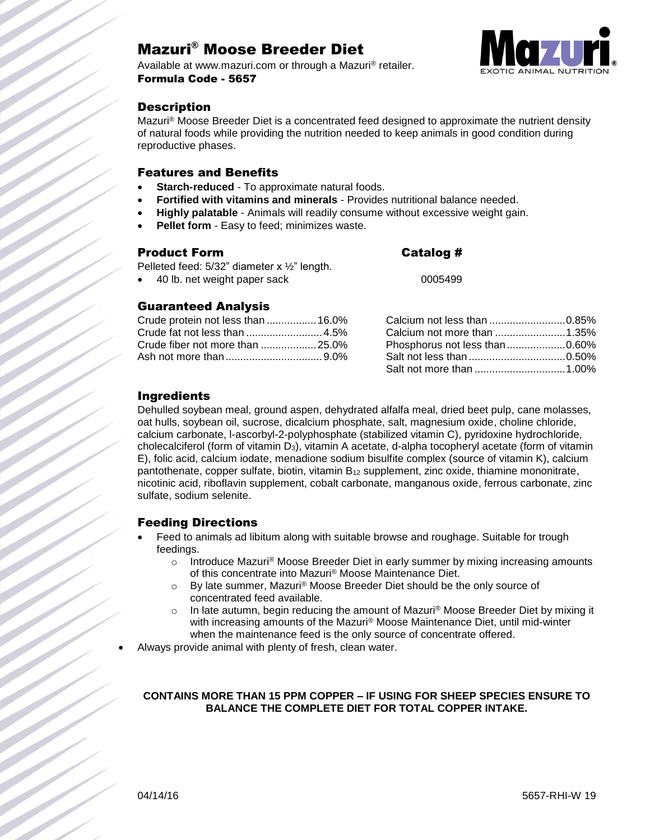# Mazuri® Moose Breeder Diet

Available at www.mazuri.com or through a Mazuri® retailer. Formula Code - 5657



# **Description**

Mazuri® Moose Breeder Diet is a concentrated feed designed to approximate the nutrient density of natural foods while providing the nutrition needed to keep animals in good condition during reproductive phases.

### Features and Benefits

- **Starch-reduced** To approximate natural foods.
- **Fortified with vitamins and minerals** Provides nutritional balance needed.
- **Highly palatable** Animals will readily consume without excessive weight gain.
- **Pellet form** Easy to feed; minimizes waste.

### Product Form Catalog #

Pelleted feed:  $5/32$ " diameter x  $\frac{1}{2}$ " length.

40 lb. net weight paper sack 0005499

### Guaranteed Analysis

| Crude protein not less than  16.0% |  |
|------------------------------------|--|
|                                    |  |
|                                    |  |
|                                    |  |

| Calcium not less than 0.85%   |  |
|-------------------------------|--|
|                               |  |
| Phosphorus not less than0.60% |  |
|                               |  |
|                               |  |

### Ingredients

Dehulled soybean meal, ground aspen, dehydrated alfalfa meal, dried beet pulp, cane molasses, oat hulls, soybean oil, sucrose, dicalcium phosphate, salt, magnesium oxide, choline chloride, calcium carbonate, l-ascorbyl-2-polyphosphate (stabilized vitamin C), pyridoxine hydrochloride, cholecalciferol (form of vitamin D3), vitamin A acetate, d-alpha tocopheryl acetate (form of vitamin E), folic acid, calcium iodate, menadione sodium bisulfite complex (source of vitamin K), calcium pantothenate, copper sulfate, biotin, vitamin  $B_{12}$  supplement, zinc oxide, thiamine mononitrate, nicotinic acid, riboflavin supplement, cobalt carbonate, manganous oxide, ferrous carbonate, zinc sulfate, sodium selenite.

## Feeding Directions

- Feed to animals ad libitum along with suitable browse and roughage. Suitable for trough feedings.
	- $\circ$  Introduce Mazuri® Moose Breeder Diet in early summer by mixing increasing amounts of this concentrate into Mazuri® Moose Maintenance Diet.
	- $\circ$  By late summer, Mazuri<sup>®</sup> Moose Breeder Diet should be the only source of concentrated feed available.
	- $\circ$  In late autumn, begin reducing the amount of Mazuri<sup>®</sup> Moose Breeder Diet by mixing it with increasing amounts of the Mazuri® Moose Maintenance Diet, until mid-winter when the maintenance feed is the only source of concentrate offered.

Always provide animal with plenty of fresh, clean water.

#### **CONTAINS MORE THAN 15 PPM COPPER – IF USING FOR SHEEP SPECIES ENSURE TO BALANCE THE COMPLETE DIET FOR TOTAL COPPER INTAKE.**